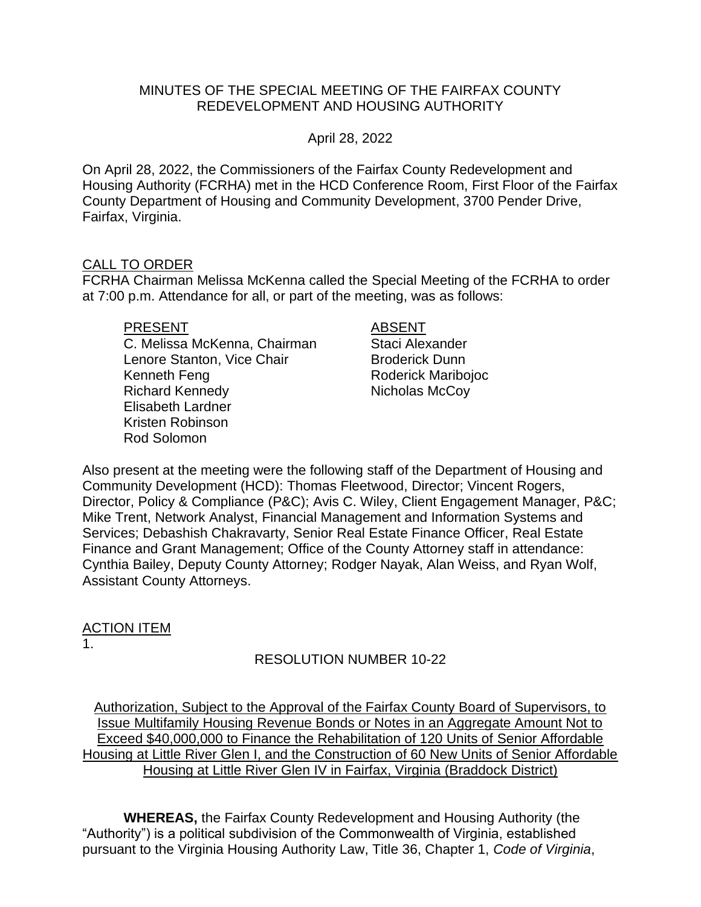## MINUTES OF THE SPECIAL MEETING OF THE FAIRFAX COUNTY REDEVELOPMENT AND HOUSING AUTHORITY

## April 28, 2022

On April 28, 2022, the Commissioners of the Fairfax County Redevelopment and Housing Authority (FCRHA) met in the HCD Conference Room, First Floor of the Fairfax County Department of Housing and Community Development, 3700 Pender Drive, Fairfax, Virginia.

## CALL TO ORDER

FCRHA Chairman Melissa McKenna called the Special Meeting of the FCRHA to order at 7:00 p.m. Attendance for all, or part of the meeting, was as follows:

#### PRESENT ABSENT

C. Melissa McKenna, Chairman Staci Alexander Lenore Stanton, Vice Chair **Broderick Dunn** Kenneth Feng **Roderick Maribojoc** Roderick Maribojoc Richard Kennedy Nicholas McCoy Elisabeth Lardner Kristen Robinson Rod Solomon

Also present at the meeting were the following staff of the Department of Housing and Community Development (HCD): Thomas Fleetwood, Director; Vincent Rogers, Director, Policy & Compliance (P&C); Avis C. Wiley, Client Engagement Manager, P&C; Mike Trent, Network Analyst, Financial Management and Information Systems and Services; Debashish Chakravarty, Senior Real Estate Finance Officer, Real Estate Finance and Grant Management; Office of the County Attorney staff in attendance: Cynthia Bailey, Deputy County Attorney; Rodger Nayak, Alan Weiss, and Ryan Wolf, Assistant County Attorneys.

## ACTION ITEM 1.

# RESOLUTION NUMBER 10-22

Authorization, Subject to the Approval of the Fairfax County Board of Supervisors, to Issue Multifamily Housing Revenue Bonds or Notes in an Aggregate Amount Not to Exceed \$40,000,000 to Finance the Rehabilitation of 120 Units of Senior Affordable Housing at Little River Glen I, and the Construction of 60 New Units of Senior Affordable Housing at Little River Glen IV in Fairfax, Virginia (Braddock District)

**WHEREAS,** the Fairfax County Redevelopment and Housing Authority (the "Authority") is a political subdivision of the Commonwealth of Virginia, established pursuant to the Virginia Housing Authority Law, Title 36, Chapter 1, *Code of Virginia*,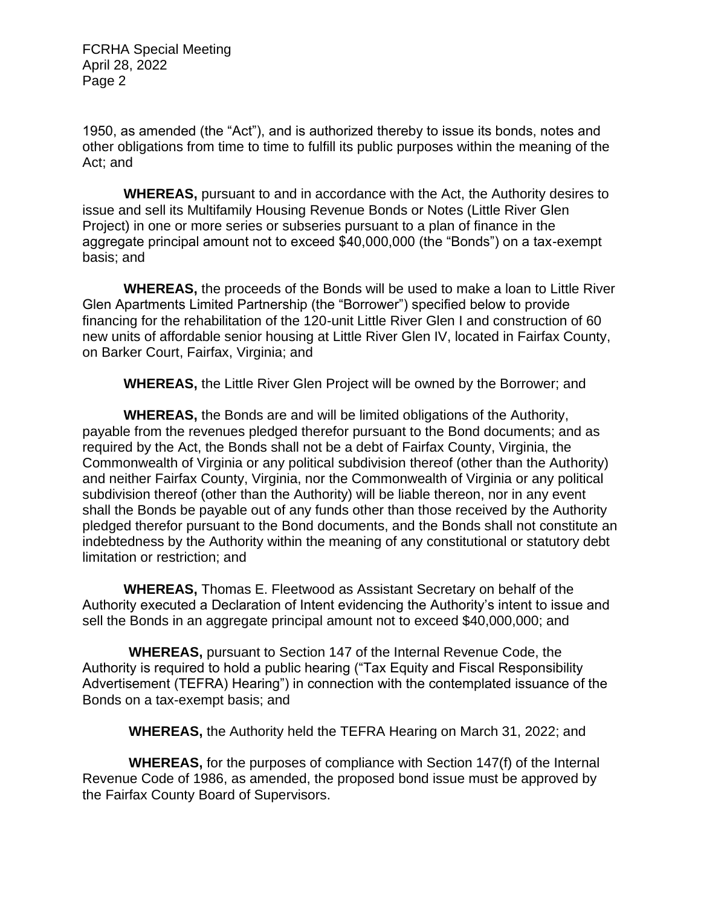1950, as amended (the "Act"), and is authorized thereby to issue its bonds, notes and other obligations from time to time to fulfill its public purposes within the meaning of the Act; and

**WHEREAS,** pursuant to and in accordance with the Act, the Authority desires to issue and sell its Multifamily Housing Revenue Bonds or Notes (Little River Glen Project) in one or more series or subseries pursuant to a plan of finance in the aggregate principal amount not to exceed \$40,000,000 (the "Bonds") on a tax-exempt basis; and

**WHEREAS,** the proceeds of the Bonds will be used to make a loan to Little River Glen Apartments Limited Partnership (the "Borrower") specified below to provide financing for the rehabilitation of the 120-unit Little River Glen I and construction of 60 new units of affordable senior housing at Little River Glen IV, located in Fairfax County, on Barker Court, Fairfax, Virginia; and

**WHEREAS,** the Little River Glen Project will be owned by the Borrower; and

**WHEREAS,** the Bonds are and will be limited obligations of the Authority, payable from the revenues pledged therefor pursuant to the Bond documents; and as required by the Act, the Bonds shall not be a debt of Fairfax County, Virginia, the Commonwealth of Virginia or any political subdivision thereof (other than the Authority) and neither Fairfax County, Virginia, nor the Commonwealth of Virginia or any political subdivision thereof (other than the Authority) will be liable thereon, nor in any event shall the Bonds be payable out of any funds other than those received by the Authority pledged therefor pursuant to the Bond documents, and the Bonds shall not constitute an indebtedness by the Authority within the meaning of any constitutional or statutory debt limitation or restriction; and

**WHEREAS,** Thomas E. Fleetwood as Assistant Secretary on behalf of the Authority executed a Declaration of Intent evidencing the Authority's intent to issue and sell the Bonds in an aggregate principal amount not to exceed \$40,000,000; and

**WHEREAS,** pursuant to Section 147 of the Internal Revenue Code, the Authority is required to hold a public hearing ("Tax Equity and Fiscal Responsibility Advertisement (TEFRA) Hearing") in connection with the contemplated issuance of the Bonds on a tax-exempt basis; and

**WHEREAS,** the Authority held the TEFRA Hearing on March 31, 2022; and

**WHEREAS,** for the purposes of compliance with Section 147(f) of the Internal Revenue Code of 1986, as amended, the proposed bond issue must be approved by the Fairfax County Board of Supervisors.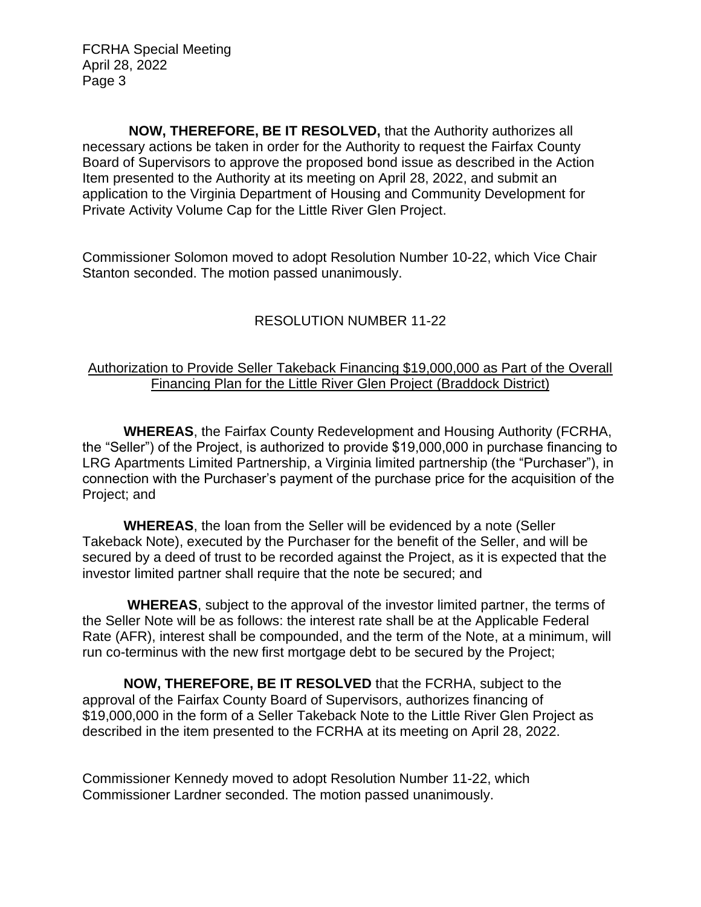**NOW, THEREFORE, BE IT RESOLVED,** that the Authority authorizes all necessary actions be taken in order for the Authority to request the Fairfax County Board of Supervisors to approve the proposed bond issue as described in the Action Item presented to the Authority at its meeting on April 28, 2022, and submit an application to the Virginia Department of Housing and Community Development for Private Activity Volume Cap for the Little River Glen Project.

Commissioner Solomon moved to adopt Resolution Number 10-22, which Vice Chair Stanton seconded. The motion passed unanimously.

# RESOLUTION NUMBER 11-22

## Authorization to Provide Seller Takeback Financing \$19,000,000 as Part of the Overall Financing Plan for the Little River Glen Project (Braddock District)

**WHEREAS**, the Fairfax County Redevelopment and Housing Authority (FCRHA, the "Seller") of the Project, is authorized to provide \$19,000,000 in purchase financing to LRG Apartments Limited Partnership, a Virginia limited partnership (the "Purchaser"), in connection with the Purchaser's payment of the purchase price for the acquisition of the Project; and

**WHEREAS**, the loan from the Seller will be evidenced by a note (Seller Takeback Note), executed by the Purchaser for the benefit of the Seller, and will be secured by a deed of trust to be recorded against the Project, as it is expected that the investor limited partner shall require that the note be secured; and

**WHEREAS**, subject to the approval of the investor limited partner, the terms of the Seller Note will be as follows: the interest rate shall be at the Applicable Federal Rate (AFR), interest shall be compounded, and the term of the Note, at a minimum, will run co-terminus with the new first mortgage debt to be secured by the Project;

**NOW, THEREFORE, BE IT RESOLVED** that the FCRHA, subject to the approval of the Fairfax County Board of Supervisors, authorizes financing of \$19,000,000 in the form of a Seller Takeback Note to the Little River Glen Project as described in the item presented to the FCRHA at its meeting on April 28, 2022.

Commissioner Kennedy moved to adopt Resolution Number 11-22, which Commissioner Lardner seconded. The motion passed unanimously.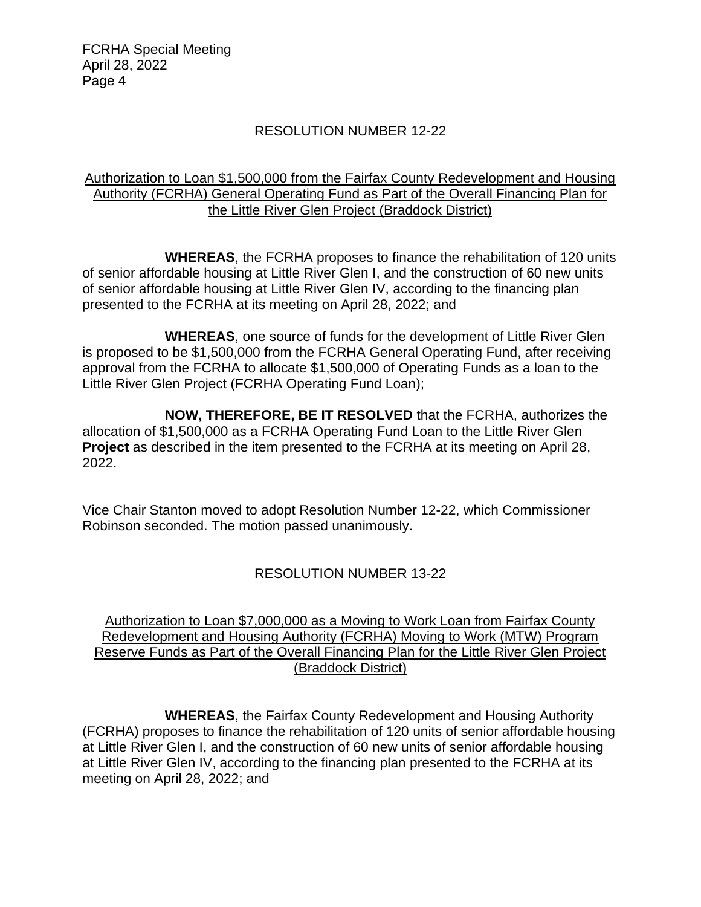## RESOLUTION NUMBER 12-22

## Authorization to Loan \$1,500,000 from the Fairfax County Redevelopment and Housing Authority (FCRHA) General Operating Fund as Part of the Overall Financing Plan for the Little River Glen Project (Braddock District)

**WHEREAS**, the FCRHA proposes to finance the rehabilitation of 120 units of senior affordable housing at Little River Glen I, and the construction of 60 new units of senior affordable housing at Little River Glen IV, according to the financing plan presented to the FCRHA at its meeting on April 28, 2022; and

**WHEREAS**, one source of funds for the development of Little River Glen is proposed to be \$1,500,000 from the FCRHA General Operating Fund, after receiving approval from the FCRHA to allocate \$1,500,000 of Operating Funds as a loan to the Little River Glen Project (FCRHA Operating Fund Loan);

**NOW, THEREFORE, BE IT RESOLVED** that the FCRHA, authorizes the allocation of \$1,500,000 as a FCRHA Operating Fund Loan to the Little River Glen **Project** as described in the item presented to the FCRHA at its meeting on April 28, 2022.

Vice Chair Stanton moved to adopt Resolution Number 12-22, which Commissioner Robinson seconded. The motion passed unanimously.

# RESOLUTION NUMBER 13-22

## Authorization to Loan \$7,000,000 as a Moving to Work Loan from Fairfax County Redevelopment and Housing Authority (FCRHA) Moving to Work (MTW) Program Reserve Funds as Part of the Overall Financing Plan for the Little River Glen Project (Braddock District)

**WHEREAS**, the Fairfax County Redevelopment and Housing Authority (FCRHA) proposes to finance the rehabilitation of 120 units of senior affordable housing at Little River Glen I, and the construction of 60 new units of senior affordable housing at Little River Glen IV, according to the financing plan presented to the FCRHA at its meeting on April 28, 2022; and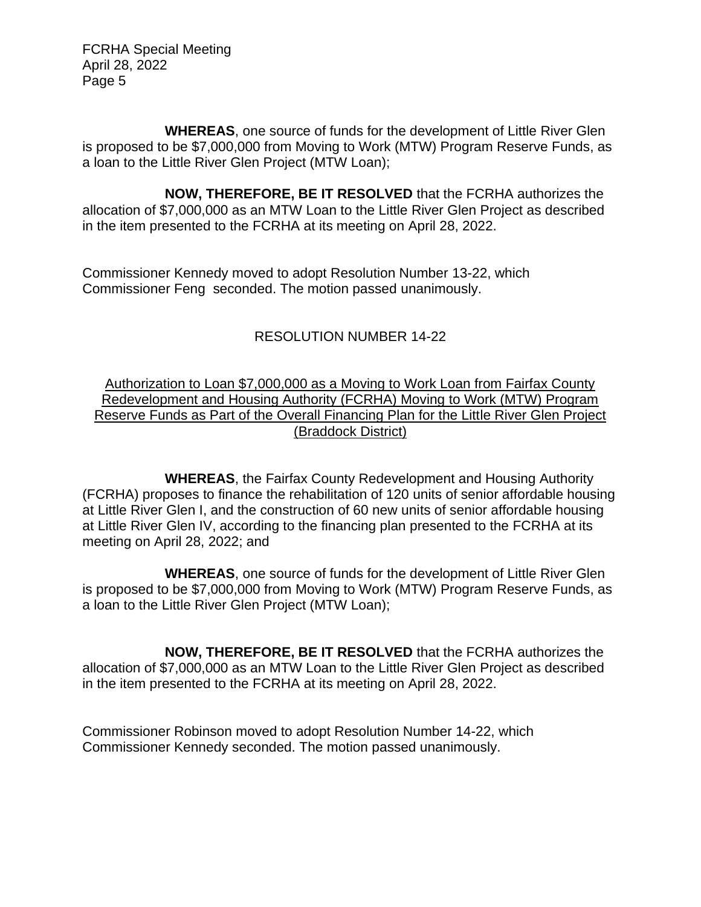**WHEREAS**, one source of funds for the development of Little River Glen is proposed to be \$7,000,000 from Moving to Work (MTW) Program Reserve Funds, as a loan to the Little River Glen Project (MTW Loan);

**NOW, THEREFORE, BE IT RESOLVED** that the FCRHA authorizes the allocation of \$7,000,000 as an MTW Loan to the Little River Glen Project as described in the item presented to the FCRHA at its meeting on April 28, 2022.

Commissioner Kennedy moved to adopt Resolution Number 13-22, which Commissioner Feng seconded. The motion passed unanimously.

# RESOLUTION NUMBER 14-22

## Authorization to Loan \$7,000,000 as a Moving to Work Loan from Fairfax County Redevelopment and Housing Authority (FCRHA) Moving to Work (MTW) Program Reserve Funds as Part of the Overall Financing Plan for the Little River Glen Project (Braddock District)

**WHEREAS**, the Fairfax County Redevelopment and Housing Authority (FCRHA) proposes to finance the rehabilitation of 120 units of senior affordable housing at Little River Glen I, and the construction of 60 new units of senior affordable housing at Little River Glen IV, according to the financing plan presented to the FCRHA at its meeting on April 28, 2022; and

**WHEREAS**, one source of funds for the development of Little River Glen is proposed to be \$7,000,000 from Moving to Work (MTW) Program Reserve Funds, as a loan to the Little River Glen Project (MTW Loan);

**NOW, THEREFORE, BE IT RESOLVED** that the FCRHA authorizes the allocation of \$7,000,000 as an MTW Loan to the Little River Glen Project as described in the item presented to the FCRHA at its meeting on April 28, 2022.

Commissioner Robinson moved to adopt Resolution Number 14-22, which Commissioner Kennedy seconded. The motion passed unanimously.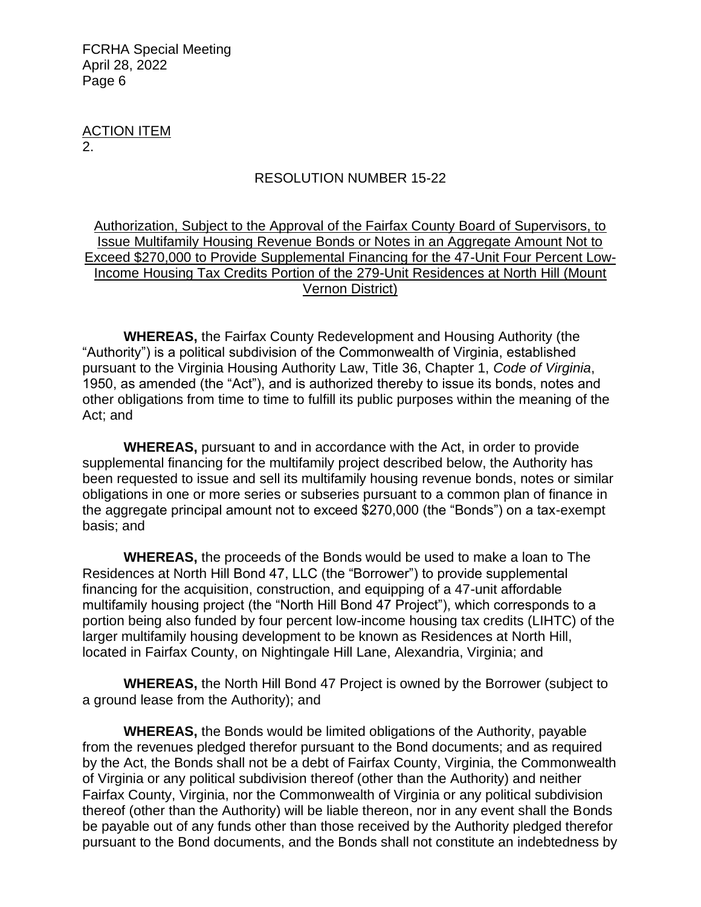ACTION ITEM 2.

#### RESOLUTION NUMBER 15-22

## Authorization, Subject to the Approval of the Fairfax County Board of Supervisors, to Issue Multifamily Housing Revenue Bonds or Notes in an Aggregate Amount Not to Exceed \$270,000 to Provide Supplemental Financing for the 47-Unit Four Percent Low-Income Housing Tax Credits Portion of the 279-Unit Residences at North Hill (Mount Vernon District)

**WHEREAS,** the Fairfax County Redevelopment and Housing Authority (the "Authority") is a political subdivision of the Commonwealth of Virginia, established pursuant to the Virginia Housing Authority Law, Title 36, Chapter 1, *Code of Virginia*, 1950, as amended (the "Act"), and is authorized thereby to issue its bonds, notes and other obligations from time to time to fulfill its public purposes within the meaning of the Act; and

**WHEREAS,** pursuant to and in accordance with the Act, in order to provide supplemental financing for the multifamily project described below, the Authority has been requested to issue and sell its multifamily housing revenue bonds, notes or similar obligations in one or more series or subseries pursuant to a common plan of finance in the aggregate principal amount not to exceed \$270,000 (the "Bonds") on a tax-exempt basis; and

**WHEREAS,** the proceeds of the Bonds would be used to make a loan to The Residences at North Hill Bond 47, LLC (the "Borrower") to provide supplemental financing for the acquisition, construction, and equipping of a 47-unit affordable multifamily housing project (the "North Hill Bond 47 Project"), which corresponds to a portion being also funded by four percent low-income housing tax credits (LIHTC) of the larger multifamily housing development to be known as Residences at North Hill, located in Fairfax County, on Nightingale Hill Lane, Alexandria, Virginia; and

**WHEREAS,** the North Hill Bond 47 Project is owned by the Borrower (subject to a ground lease from the Authority); and

**WHEREAS,** the Bonds would be limited obligations of the Authority, payable from the revenues pledged therefor pursuant to the Bond documents; and as required by the Act, the Bonds shall not be a debt of Fairfax County, Virginia, the Commonwealth of Virginia or any political subdivision thereof (other than the Authority) and neither Fairfax County, Virginia, nor the Commonwealth of Virginia or any political subdivision thereof (other than the Authority) will be liable thereon, nor in any event shall the Bonds be payable out of any funds other than those received by the Authority pledged therefor pursuant to the Bond documents, and the Bonds shall not constitute an indebtedness by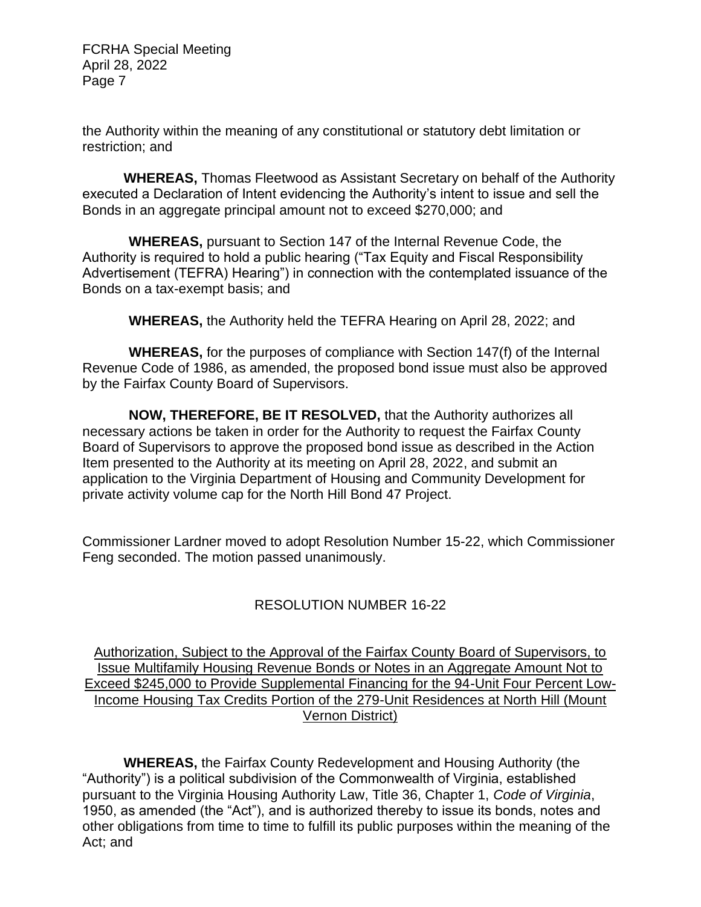the Authority within the meaning of any constitutional or statutory debt limitation or restriction; and

**WHEREAS,** Thomas Fleetwood as Assistant Secretary on behalf of the Authority executed a Declaration of Intent evidencing the Authority's intent to issue and sell the Bonds in an aggregate principal amount not to exceed \$270,000; and

**WHEREAS,** pursuant to Section 147 of the Internal Revenue Code, the Authority is required to hold a public hearing ("Tax Equity and Fiscal Responsibility Advertisement (TEFRA) Hearing") in connection with the contemplated issuance of the Bonds on a tax-exempt basis; and

**WHEREAS,** the Authority held the TEFRA Hearing on April 28, 2022; and

**WHEREAS,** for the purposes of compliance with Section 147(f) of the Internal Revenue Code of 1986, as amended, the proposed bond issue must also be approved by the Fairfax County Board of Supervisors.

**NOW, THEREFORE, BE IT RESOLVED,** that the Authority authorizes all necessary actions be taken in order for the Authority to request the Fairfax County Board of Supervisors to approve the proposed bond issue as described in the Action Item presented to the Authority at its meeting on April 28, 2022, and submit an application to the Virginia Department of Housing and Community Development for private activity volume cap for the North Hill Bond 47 Project.

Commissioner Lardner moved to adopt Resolution Number 15-22, which Commissioner Feng seconded. The motion passed unanimously.

# RESOLUTION NUMBER 16-22

Authorization, Subject to the Approval of the Fairfax County Board of Supervisors, to Issue Multifamily Housing Revenue Bonds or Notes in an Aggregate Amount Not to Exceed \$245,000 to Provide Supplemental Financing for the 94-Unit Four Percent Low-Income Housing Tax Credits Portion of the 279-Unit Residences at North Hill (Mount Vernon District)

**WHEREAS,** the Fairfax County Redevelopment and Housing Authority (the "Authority") is a political subdivision of the Commonwealth of Virginia, established pursuant to the Virginia Housing Authority Law, Title 36, Chapter 1, *Code of Virginia*, 1950, as amended (the "Act"), and is authorized thereby to issue its bonds, notes and other obligations from time to time to fulfill its public purposes within the meaning of the Act; and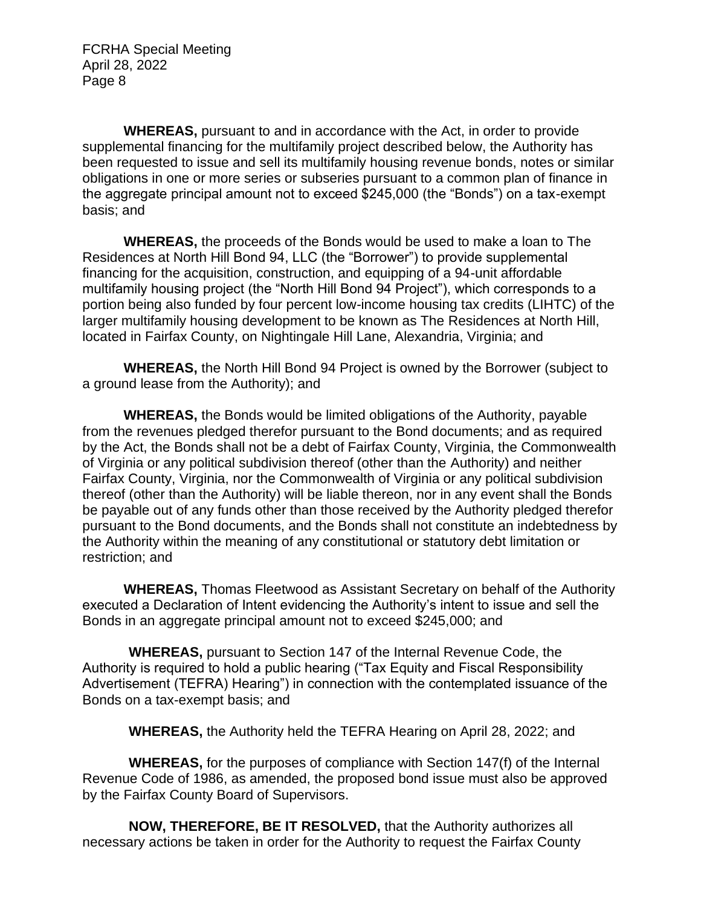**WHEREAS,** pursuant to and in accordance with the Act, in order to provide supplemental financing for the multifamily project described below, the Authority has been requested to issue and sell its multifamily housing revenue bonds, notes or similar obligations in one or more series or subseries pursuant to a common plan of finance in the aggregate principal amount not to exceed \$245,000 (the "Bonds") on a tax-exempt basis; and

**WHEREAS,** the proceeds of the Bonds would be used to make a loan to The Residences at North Hill Bond 94, LLC (the "Borrower") to provide supplemental financing for the acquisition, construction, and equipping of a 94-unit affordable multifamily housing project (the "North Hill Bond 94 Project"), which corresponds to a portion being also funded by four percent low-income housing tax credits (LIHTC) of the larger multifamily housing development to be known as The Residences at North Hill, located in Fairfax County, on Nightingale Hill Lane, Alexandria, Virginia; and

**WHEREAS,** the North Hill Bond 94 Project is owned by the Borrower (subject to a ground lease from the Authority); and

**WHEREAS,** the Bonds would be limited obligations of the Authority, payable from the revenues pledged therefor pursuant to the Bond documents; and as required by the Act, the Bonds shall not be a debt of Fairfax County, Virginia, the Commonwealth of Virginia or any political subdivision thereof (other than the Authority) and neither Fairfax County, Virginia, nor the Commonwealth of Virginia or any political subdivision thereof (other than the Authority) will be liable thereon, nor in any event shall the Bonds be payable out of any funds other than those received by the Authority pledged therefor pursuant to the Bond documents, and the Bonds shall not constitute an indebtedness by the Authority within the meaning of any constitutional or statutory debt limitation or restriction; and

**WHEREAS,** Thomas Fleetwood as Assistant Secretary on behalf of the Authority executed a Declaration of Intent evidencing the Authority's intent to issue and sell the Bonds in an aggregate principal amount not to exceed \$245,000; and

**WHEREAS,** pursuant to Section 147 of the Internal Revenue Code, the Authority is required to hold a public hearing ("Tax Equity and Fiscal Responsibility Advertisement (TEFRA) Hearing") in connection with the contemplated issuance of the Bonds on a tax-exempt basis; and

**WHEREAS,** the Authority held the TEFRA Hearing on April 28, 2022; and

**WHEREAS,** for the purposes of compliance with Section 147(f) of the Internal Revenue Code of 1986, as amended, the proposed bond issue must also be approved by the Fairfax County Board of Supervisors.

**NOW, THEREFORE, BE IT RESOLVED,** that the Authority authorizes all necessary actions be taken in order for the Authority to request the Fairfax County